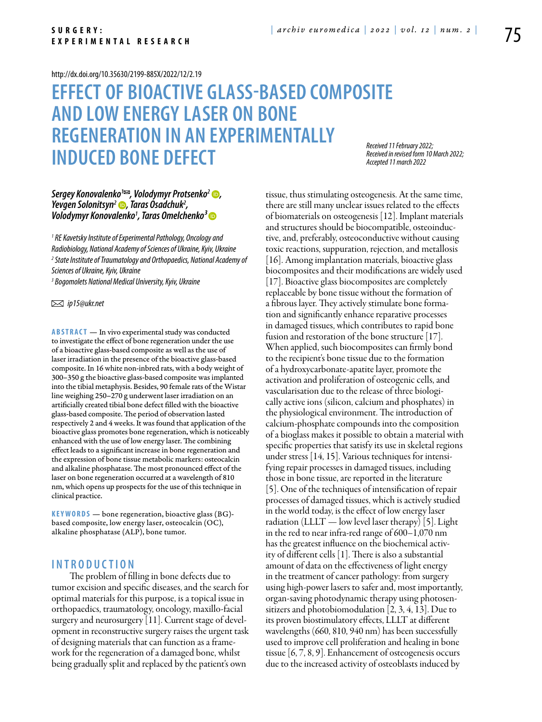#### <http://dx.doi.org/10.35630/2199-885X/2022/12/2.19>

# **Effect of bioactive glass-based composite and low energylaser on bone regeneration in an experimentally induced bone defect**

*Received 11 February 2022; Received in revised form 10 March 2022; Accepted 11 march 2022*

# *Sergey Konovalenko<sup>1</sup><sup>∞</sup>*, *Volodymyr Protsenko<sup>2</sup> →, [Yevgen Solonitsyn](https://orcid.org/0000-0001-7057-1405)2 , Taras Osadchuk2 , Volodymyr Konovalenko1 , [Taras Omelchenko](https://orcid.org/0000-0003-1722-0803)³*

*1 RE Kavetsky Institute of Experimental Pathology, Oncology and Radiobiology, National Academy of Sciences of Ukraine, Kyiv, Ukraine 2 State Institute of Traumatology and Orthopaedics, National Academy of Sciences of Ukraine, Kyiv, Ukraine 3 Bogomolets National Medical University, Kyiv, Ukraine*

 *ip15@ukr.net*

**Abstract** — In vivo experimental study was conducted to investigate the effect of bone regeneration under the use of a bioactive glass-based composite as well as the use of laser irradiation in the presence of the bioactive glass-based composite. In 16 white non-inbred rats, with a body weight of 300–350 g the bioactive glass-based composite was implanted into the tibial metaphysis. Besides, 90 female rats of the Wistar line weighing 250–270 g underwent laser irradiation on an artificially created tibial bone defect filled with the bioactive glass-based composite. The period of observation lasted respectively 2 and 4 weeks. It was found that application of the bioactive glass promotes bone regeneration, which is noticeably enhanced with the use of low energy laser. The combining effect leads to a significant increase in bone regeneration and the expression of bone tissue metabolic markers: osteocalcin and alkaline phosphatase. The most pronounced effect of the laser on bone regeneration occurred at a wavelength of 810 nm, which opens up prospects for the use of this technique in clinical practice.

**K eywords** — bone regeneration, bioactive glass (BG) based composite, low energy laser, osteocalcin (OC), alkaline phosphatase (ALP), bone tumor.

# **I n t r o ducti o n**

The problem of filling in bone defects due to tumor excision and specific diseases, and the search for optimal materials for this purpose, is a topical issue in orthopaedics, traumatology, oncology, maxillo-facial surgery and neurosurgery [11]. Current stage of development in reconstructive surgery raises the urgent task of designing materials that can function as a framework for the regeneration of a damaged bone, whilst being gradually split and replaced by the patient's own

tissue, thus stimulating osteogenesis. At the same time, there are still many unclear issues related to the effects of biomaterials on osteogenesis [12]. Implant materials and structures should be biocompatible, osteoinductive, and, preferably, osteoconductive without causing toxic reactions, suppuration, rejection, and metallosis [16]. Among implantation materials, bioactive glass biocomposites and their modifications are widely used [17]. Bioactive glass biocomposites are completely replaceable by bone tissue without the formation of a fibrous layer. They actively stimulate bone formation and significantly enhance reparative processes in damaged tissues, which contributes to rapid bone fusion and restoration of the bone structure [17]. When applied, such biocomposites can firmly bond to the recipient's bone tissue due to the formation of a hydroxycarbonate-apatite layer, promote the activation and proliferation of osteogenic cells, and vascularisation due to the release of three biologically active ions (silicon, calcium and phosphates) in the physiological environment. The introduction of calcium-phosphate compounds into the composition of a bioglass makes it possible to obtain a material with specific properties that satisfy its use in skeletal regions under stress [14, 15]. Various techniques for intensifying repair processes in damaged tissues, including those in bone tissue, are reported in the literature [5]. One of the techniques of intensification of repair processes of damaged tissues, which is actively studied in the world today, is the effect of low energy laser radiation (LLLT — low level laser therapy) [5]. Light in the red to near infra-red range of 600–1,070 nm has the greatest influence on the biochemical activity of different cells [1]. There is also a substantial amount of data on the effectiveness of light energy in the treatment of cancer pathology: from surgery using high-power lasers to safer and, most importantly, organ-saving photodynamic therapy using photosensitizers and photobiomodulation [2, 3, 4, 13]. Due to its proven biostimulatory effects, LLLT at different wavelengths (660, 810, 940 nm) has been successfully used to improve cell proliferation and healing in bone tissue [6, 7, 8, 9]. Enhancement of osteogenesis occurs due to the increased activity of osteoblasts induced by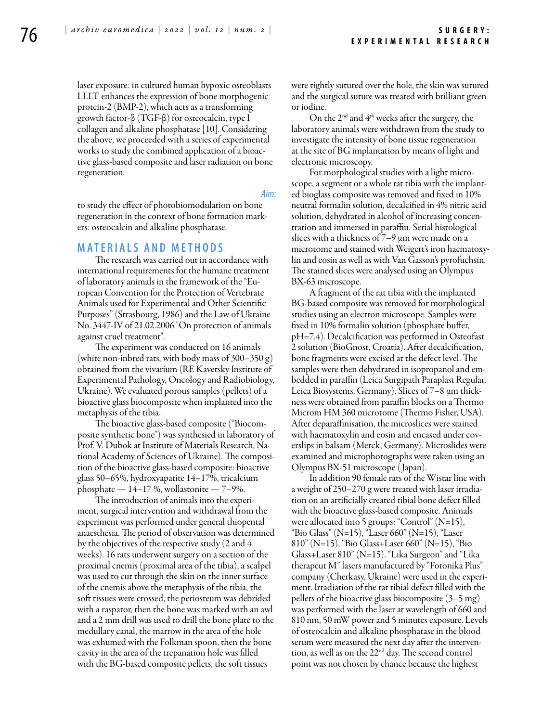laser exposure: in cultured human hypoxic osteoblasts LLLT enhances the expression of bone morphogenic protein-2 (BMP-2), which acts as a transforming growth factor-β (TGF-β) for osteocalcin, type I collagen and alkaline phosphatase [10]. Considering the above, we proceeded with a series of experimental works to study the combined application of a bioactive glass-based composite and laser radiation on bone regeneration.

*Aim:* 

to study the effect of photobiomodulation on bone regeneration in the context of bone formation markers: osteocalcin and alkaline phosphatase.

#### **Mat e rials a n d me t h o d s**

The research was carried out in accordance with international requirements for the humane treatment of laboratory animals in the framework of the "European Convention for the Protection of Vertebrate Animals used for Experimental and Other Scientific Purposes" (Strasbourg, 1986) and the Law of Ukraine No. 3447-IV of 21.02.2006 "On protection of animals against cruel treatment".

The experiment was conducted on 16 animals (white non-inbred rats, with body mass of 300–350 g) obtained from the vivarium (RE Kavetsky Institute of Experimental Pathology, Oncology and Radiobiology, Ukraine). We evaluated porous samples (pellets) of a bioactive glass biocomposite when implanted into the metaphysis of the tibia.

The bioactive glass-based composite ("Biocomposite synthetic bone") was synthesied in laboratory of Prof. V. Dubok at Institute of Materials Research, National Academy of Sciences of Ukraine). The composition of the bioactive glass-based composite: bioactive glass 50–65%, hydroxyapatite 14–17%, tricalcium phosphate — 14–17 %, wollastonite — 7–9%.

The introduction of animals into the experiment, surgical intervention and withdrawal from the experiment was performed under general thiopental anaesthesia. The period of observation was determined by the objectives of the respective study (2 and 4 weeks). 16 rats underwent surgery on a section of the proximal cnemis (proximal area of the tibia), a scalpel was used to cut through the skin on the inner surface of the cnemis above the metaphysis of the tibia, the soft tissues were crossed, the periosteum was debrided with a raspator, then the bone was marked with an awl and a 2 mm drill was used to drill the bone plate to the medullary canal, the marrow in the area of the hole was exhumed with the Folkman spoon, then the bone cavity in the area of the trepanation hole was filled with the BG-based composite pellets, the soft tissues

were tightly sutured over the hole, the skin was sutured and the surgical suture was treated with brilliant green or iodine.

On the 2<sup>nd</sup> and 4<sup>th</sup> weeks after the surgery, the laboratory animals were withdrawn from the study to investigate the intensity of bone tissue regeneration at the site of BG implantation by means of light and electronic microscopy.

For morphological studies with a light microscope, a segment or a whole rat tibia with the implanted bioglass composite was removed and fixed in 10% neutral formalin solution, decalcified in 4% nitric acid solution, dehydrated in alcohol of increasing concentration and immersed in paraffin. Serial histological slices with a thickness of  $7-9$  µm were made on a microtome and stained with Weigert's iron haematoxylin and eosin as well as with Van Gasson's pyrofuchsin. The stained slices were analysed using an Olympus BX-63 microscope.

A fragment of the rat tibia with the implanted BG-based composite was removed for morphological studies using an electron microscope. Samples were fixed in 10% formalin solution (phosphate buffer, pH=7.4). Decalcification was performed in Osteofast 2 solution (BioGnost, Croatia). After decalcification, bone fragments were excised at the defect level. The samples were then dehydrated in isopropanol and embedded in paraffin (Leica Surgipath Paraplast Regular, Leica Biosystems, Germany). Slices of 7–8 µm thickness were obtained from paraffin blocks on a Thermo Microm HM 360 microtome (Thermo Fisher, USA). After deparaffinisation, the microslices were stained with haematoxylin and eosin and encased under coverslips in balsam (Merck, Germany). Microslides were examined and microphotographs were taken using an Olympus BX-51 microscope ( Japan).

In addition 90 female rats of the Wistar line with a weight of 250–270 g were treated with laser irradiation on an artificially created tibial bone defect filled with the bioactive glass-based composite. Animals were allocated into 5 groups: "Control" (N=15), "Bio Glass" (N=15), "Laser 660" (N=15), "Laser 810" (N=15), "Bio Glass+Laser 660" (N=15), "Bio Glass+Laser 810" (N=15). "Lika Surgeon" and "Lika therapeut M" lasers manufactured by "Fotonika Plus" company (Cherkasy, Ukraine) were used in the experiment. Irradiation of the rat tibial defect filled with the pellets of the bioactive glass biocomposite (3–5 mg) was performed with the laser at wavelength of 660 and 810 nm, 50 mW power and 5 minutes exposure. Levels of osteocalcin and alkaline phosphatase in the blood serum were measured the next day after the intervention, as well as on the 22nd day. The second control point was not chosen by chance because the highest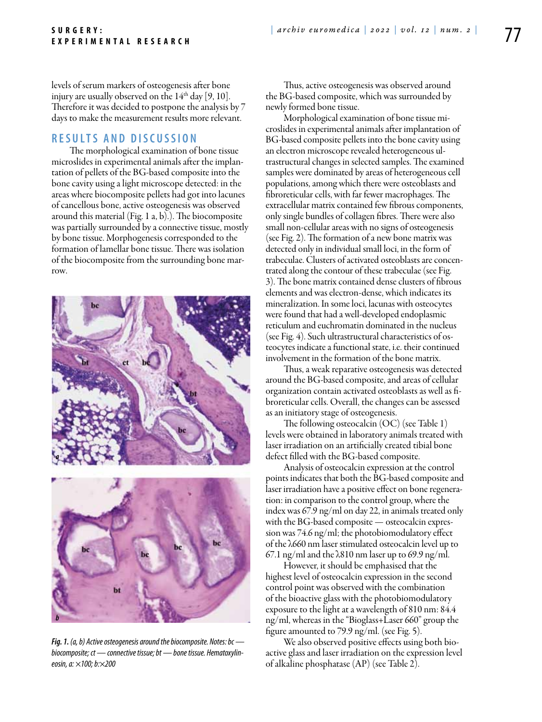levels of serum markers of osteogenesis after bone injury are usually observed on the  $14<sup>th</sup>$  day [9, 10]. Therefore it was decided to postpone the analysis by 7 days to make the measurement results more relevant.

# **R e s ult s a n d discu s si o n**

The morphological examination of bone tissue microslides in experimental animals after the implantation of pellets of the BG-based composite into the bone cavity using a light microscope detected: in the areas where biocomposite pellets had got into lacunes of cancellous bone, active osteogenesis was observed around this material (Fig. 1 а, b).). The biocomposite was partially surrounded by a connective tissue, mostly by bone tissue. Morphogenesis corresponded to the formation of lamellar bone tissue. There was isolation of the biocomposite from the surrounding bone marrow.



*Fig. 1. (a, b) Active osteogenesis around the biocomposite. Notes: bc biocomposite; ct — connective tissue; bt — bone tissue. Hematoxylineosin, a: ×100; b:×200*

Thus, active osteogenesis was observed around the BG-based composite, which was surrounded by newly formed bone tissue.

Morphological examination of bone tissue microslides in experimental animals after implantation of BG-based composite pellets into the bone cavity using an electron microscope revealed heterogeneous ultrastructural changes in selected samples. The examined samples were dominated by areas of heterogeneous cell populations, among which there were osteoblasts and fibroreticular cells, with far fewer macrophages. The extracellular matrix contained few fibrous components, only single bundles of collagen fibres. There were also small non-cellular areas with no signs of osteogenesis (see Fig. 2). The formation of a new bone matrix was detected only in individual small loci, in the form of trabeculae. Clusters of activated osteoblasts are concentrated along the contour of these trabeculae (see Fig. 3). The bone matrix contained dense clusters of fibrous elements and was electron-dense, which indicates its mineralization. In some loci, lacunas with osteocytes were found that had a well-developed endoplasmic reticulum and euchromatin dominated in the nucleus (see Fig. 4). Such ultrastructural characteristics of osteocytes indicate a functional state, i.e. their continued involvement in the formation of the bone matrix.

Thus, a weak reparative osteogenesis was detected around the BG-based composite, and areas of cellular organization contain activated osteoblasts as well as fibroreticular cells. Overall, the changes can be assessed as an initiatory stage of osteogenesis.

The following osteocalcin (OC) (see Table 1) levels were obtained in laboratory animals treated with laser irradiation on an artificially created tibial bone defect filled with the BG-based composite.

Analysis of osteocalcin expression at the control points indicates that both the BG-based composite and laser irradiation have a positive effect on bone regeneration: in comparison to the control group, where the index was 67.9 ng/ml on day 22, in animals treated only with the BG-based composite — osteocalcin expression was 74.6 ng/ml; the photobiomodulatory effect of the λ660 nm laser stimulated osteocalcin level up to 67.1 ng/ml and the λ810 nm laser up to 69.9 ng/ml.

However, it should be emphasised that the highest level of osteocalcin expression in the second control point was observed with the combination of the bioactive glass with the photobiomodulatory exposure to the light at a wavelength of 810 nm: 84.4 ng/ml, whereas in the "Bioglass+Laser 660" group the figure amounted to 79.9 ng/ml. (see Fig. 5).

We also observed positive effects using both bioactive glass and laser irradiation on the expression level of alkaline phosphatase (AP) (see Table 2).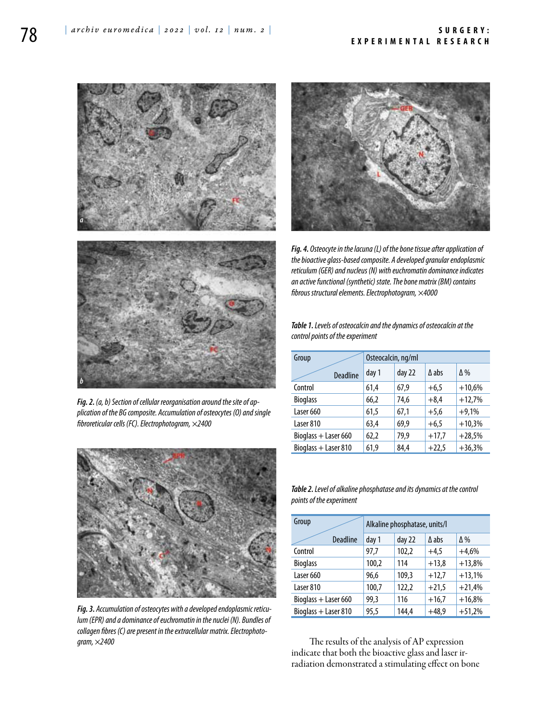

*Fig. 2. (a, b) Section of cellular reorganisation around the site of application of the BG composite. Accumulation of osteocytes (O) and single fibroreticular cells (FC). Electrophotogram, ×2400*



*Fig. 3. Accumulation of osteocytes with a developed endoplasmic reticulum (EPR) and a dominance of euchromatin in the nuclei (N). Bundles of collagen fibres (C) are present in the extracellular matrix. Electrophotogram, ×2400*



*Fig. 4. Osteocyte in the lacuna (L) of the bone tissue after application of the bioactive glass-based composite. A developed granular endoplasmic reticulum (GER) and nucleus (N) with euchromatin dominance indicates an active functional (synthetic) state. The bone matrix (BM) contains fibrous structural elements. Electrophotogram, ×4000*

*Table 1. Levels of osteocalcin and the dynamics of osteocalcin at the control points of the experiment*

| Group                | Osteocalcin, ng/ml |        |         |            |  |
|----------------------|--------------------|--------|---------|------------|--|
| <b>Deadline</b>      | day 1              | day 22 | A abs   | $\Delta\%$ |  |
| Control              | 61,4               | 67,9   | $+6,5$  | $+10,6%$   |  |
| <b>Bioglass</b>      | 66,2               | 74,6   | $+8,4$  | $+12,7%$   |  |
| Laser 660            | 61,5               | 67,1   | $+5,6$  | $+9,1%$    |  |
| Laser 810            | 63,4               | 69,9   | $+6,5$  | $+10,3%$   |  |
| Bioglass + Laser 660 | 62,2               | 79,9   | $+17,7$ | $+28,5%$   |  |
| Bioglass + Laser 810 | 61,9               | 84,4   | $+22,5$ | $+36,3%$   |  |

*Table 2. Level of alkaline phosphatase and its dynamics at the control points of the experiment*

| Group                  | Alkaline phosphatase, units/l |        |              |            |  |
|------------------------|-------------------------------|--------|--------------|------------|--|
| <b>Deadline</b>        | day 1                         | day 22 | $\Delta$ abs | $\Delta\%$ |  |
| Control                | 97,7                          | 102,2  | $+4,5$       | $+4,6%$    |  |
| <b>Bioglass</b>        | 100,2                         | 114    | $+13,8$      | $+13,8%$   |  |
| Laser 660              | 96,6                          | 109,3  | $+12,7$      | $+13,1%$   |  |
| Laser 810              | 100,7                         | 122,2  | $+21,5$      | $+21,4%$   |  |
| Bioglass $+$ Laser 660 | 99.3                          | 116    | $+16,7$      | $+16,8%$   |  |
| Bioglass + Laser 810   | 95,5                          | 144.4  | $+48.9$      | $+51,2%$   |  |

The results of the analysis of AP expression indicate that both the bioactive glass and laser irradiation demonstrated a stimulating effect on bone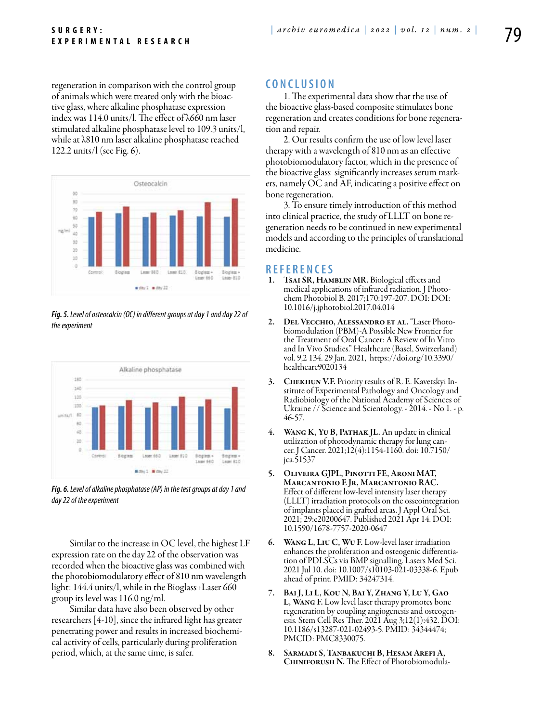regeneration in comparison with the control group of animals which were treated only with the bioactive glass, where alkaline phosphatase expression index was 114.0 units/l. The effect of λ660 nm laser stimulated alkaline phosphatase level to 109.3 units/l, while at λ810 nm laser alkaline phosphatase reached 122.2 units/l (see Fig. 6).



*Fig. 5. Level of osteocalcin (ОC) in different groups at day 1 and day 22 of the experiment*



*Fig. 6. Level of alkaline phosphatase (AP) in the test groups at day 1 and day 22 of the experiment*

Similar to the increase in OC level, the highest LF expression rate on the day 22 of the observation was recorded when the bioactive glass was combined with the photobiomodulatory effect of 810 nm wavelength light: 144.4 units/l, while in the Bioglass+Laser 660 group its level was 116.0 ng/ml.

Similar data have also been observed by other researchers [4-10], since the infrared light has greater penetrating power and results in increased biochemical activity of cells, particularly during proliferation period, which, at the same time, is safer.

# **C o n clu si o n**

1. The experimental data show that the use of the bioactive glass-based composite stimulates bone regeneration and creates conditions for bone regeneration and repair.

2. Our results confirm the use of low level laser therapy with a wavelength of 810 nm as an effective photobiomodulatory factor, which in the presence of the bioactive glass significantly increases serum markers, namely OC and AF, indicating a positive effect on bone regeneration.

3. To ensure timely introduction of this method into clinical practice, the study of LLLT on bone regeneration needs to be continued in new experimental models and according to the principles of translational medicine.

#### **R efe r e n ce s**

- 1. TsAI SR, HAMBLIN MR. Biological effects and medical applications of infrared radiation. J Photochem Photobiol B. 2017;170:197-207. DOI: DOI: 10.1016/j.jphotobiol.2017.04.014
- 2. Del Vecchio, Alessandro et al. "Laser Photobiomodulation (PBM)-A Possible New Frontier for the Treatment of Oral Cancer: A Review of In Vitro and In Vivo Studies." Healthcare (Basel, Switzerland) vol. 9,2 134. 29 Jan. 2021, https://doi.org/10.3390/ healthcare9020134
- CHEKHUN V.F. Priority results of R. E. Kavetskyi Institute of Experimental Pathology and Oncology and Radiobiology of the National Academy of Sciences of Ukraine // Science and Scientology. - 2014. - No 1. - p. 46-57.
- 4. WANG K, YU B, PATHAK JL. An update in clinical<br>utilization of photodynamic therapy for lung cancer. J Cancer. 2021;12(4):1154-1160. doi: 10.7150/ jca.51537
- 5. Oliveira GJPL, Pinotti FE, Aroni MAT, Marcantonio E Jr, Marcantonio RAC. Effect of different low-level intensity laser therapy (LLLT) irradiation protocols on the osseointegration of implants placed in grafted areas. J Appl Oral Sci. 2021; 29:e20200647. Published 2021 Apr 14. DOI: 10.1590/1678-7757-2020-0647
- 6. Wang L, Liu C, Wu F. Low-level laser irradiation enhances the proliferation and osteogenic differentiation of PDLSCs via BMP signalling. Lasers Med Sci. 2021 Jul 10. doi: 10.1007/s10103-021-03338-6. Epub ahead of print. PMID: 34247314.
- 7. Bai J, Li L, Kou N, Bai Y, Zhang Y, Lu Y, Gao L, Wang F. Low level laser therapy promotes bone regeneration by coupling angiogenesis and osteogenesis. Stem Cell Res Ther. 2021 Aug 3;12(1):432. DOI: 10.1186/s13287-021-02493-5. PMID: 34344474; PMCID: PMC8330075.
- 8. Sarmadi S, Tanbakuchi B, Hesam Arefi A, Chiniforush N. The Effect of Photobiomodula-